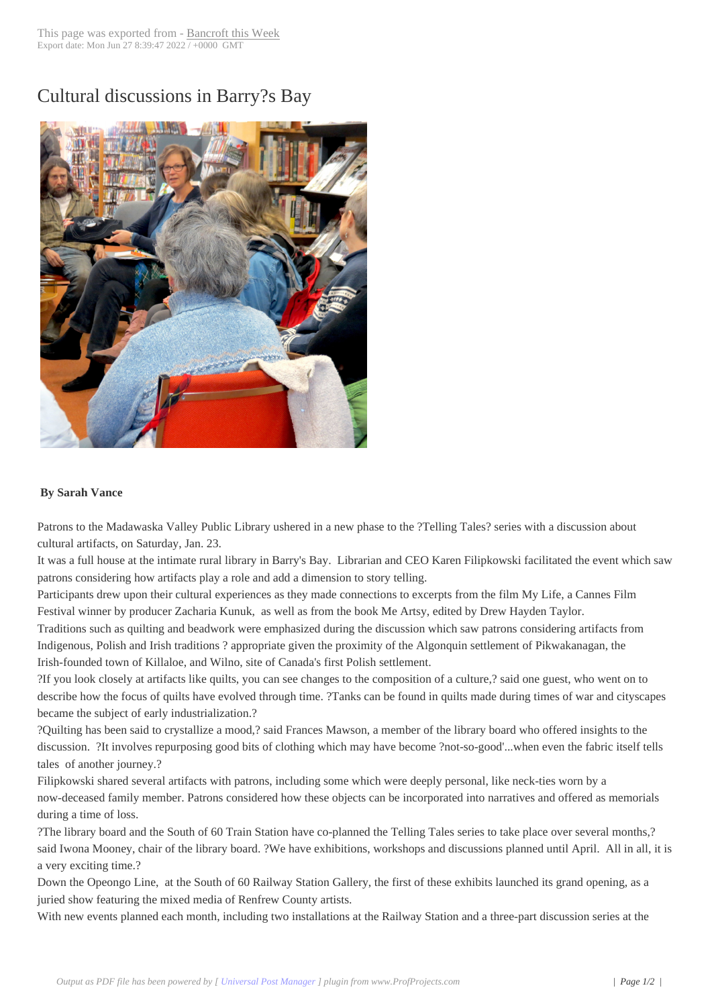## Cultural discussion[s in Barry?s](http://www.bancroftthisweek.com/?p=5662) Bay



## **By Sarah Vance**

Patrons to the Madawaska Valley Public Library ushered in a new phase to the ?Telling Tales? series with a discussion about cultural artifacts, on Saturday, Jan. 23.

It was a full house at the intimate rural library in Barry's Bay. Librarian and CEO Karen Filipkowski facilitated the event which saw patrons considering how artifacts play a role and add a dimension to story telling.

Participants drew upon their cultural experiences as they made connections to excerpts from the film My Life, a Cannes Film Festival winner by producer Zacharia Kunuk, as well as from the book Me Artsy, edited by Drew Hayden Taylor.

Traditions such as quilting and beadwork were emphasized during the discussion which saw patrons considering artifacts from Indigenous, Polish and Irish traditions ? appropriate given the proximity of the Algonquin settlement of Pikwakanagan, the Irish-founded town of Killaloe, and Wilno, site of Canada's first Polish settlement.

?If you look closely at artifacts like quilts, you can see changes to the composition of a culture,? said one guest, who went on to describe how the focus of quilts have evolved through time. ?Tanks can be found in quilts made during times of war and cityscapes became the subject of early industrialization.?

?Quilting has been said to crystallize a mood,? said Frances Mawson, a member of the library board who offered insights to the discussion. ?It involves repurposing good bits of clothing which may have become ?not-so-good'...when even the fabric itself tells tales of another journey.?

Filipkowski shared several artifacts with patrons, including some which were deeply personal, like neck-ties worn by a now-deceased family member. Patrons considered how these objects can be incorporated into narratives and offered as memorials during a time of loss.

?The library board and the South of 60 Train Station have co-planned the Telling Tales series to take place over several months,? said Iwona Mooney, chair of the library board. ?We have exhibitions, workshops and discussions planned until April. All in all, it is a very exciting time.?

Down the Opeongo Line, at the South of 60 Railway Station Gallery, the first of these exhibits launched its grand opening, as a juried show featuring the mixed media of Renfrew County artists.

With new events planned each month, including two installations at the Railway Station and a three-part discussion series at the